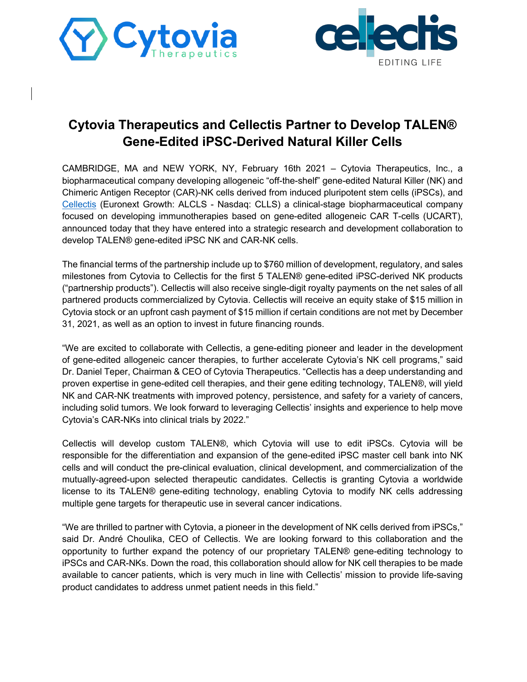



# **Cytovia Therapeutics and Cellectis Partner to Develop TALEN® Gene-Edited iPSC-Derived Natural Killer Cells**

CAMBRIDGE, MA and NEW YORK, NY, February 16th 2021 – Cytovia Therapeutics, Inc., a biopharmaceutical company developing allogeneic "off-the-shelf" gene-edited Natural Killer (NK) and Chimeric Antigen Receptor (CAR)-NK cells derived from induced pluripotent stem cells (iPSCs), and Cellectis (Euronext Growth: ALCLS - Nasdaq: CLLS) a clinical-stage biopharmaceutical company focused on developing immunotherapies based on gene-edited allogeneic CAR T-cells (UCART), announced today that they have entered into a strategic research and development collaboration to develop TALEN® gene-edited iPSC NK and CAR-NK cells.

The financial terms of the partnership include up to \$760 million of development, regulatory, and sales milestones from Cytovia to Cellectis for the first 5 TALEN® gene-edited iPSC-derived NK products ("partnership products"). Cellectis will also receive single-digit royalty payments on the net sales of all partnered products commercialized by Cytovia. Cellectis will receive an equity stake of \$15 million in Cytovia stock or an upfront cash payment of \$15 million if certain conditions are not met by December 31, 2021, as well as an option to invest in future financing rounds.

"We are excited to collaborate with Cellectis, a gene-editing pioneer and leader in the development of gene-edited allogeneic cancer therapies, to further accelerate Cytovia's NK cell programs," said Dr. Daniel Teper, Chairman & CEO of Cytovia Therapeutics. "Cellectis has a deep understanding and proven expertise in gene-edited cell therapies, and their gene editing technology, TALEN®, will yield NK and CAR-NK treatments with improved potency, persistence, and safety for a variety of cancers, including solid tumors. We look forward to leveraging Cellectis' insights and experience to help move Cytovia's CAR-NKs into clinical trials by 2022."

Cellectis will develop custom TALEN®, which Cytovia will use to edit iPSCs. Cytovia will be responsible for the differentiation and expansion of the gene-edited iPSC master cell bank into NK cells and will conduct the pre-clinical evaluation, clinical development, and commercialization of the mutually-agreed-upon selected therapeutic candidates. Cellectis is granting Cytovia a worldwide license to its TALEN® gene-editing technology, enabling Cytovia to modify NK cells addressing multiple gene targets for therapeutic use in several cancer indications.

"We are thrilled to partner with Cytovia, a pioneer in the development of NK cells derived from iPSCs," said Dr. André Choulika, CEO of Cellectis. We are looking forward to this collaboration and the opportunity to further expand the potency of our proprietary TALEN® gene-editing technology to iPSCs and CAR-NKs. Down the road, this collaboration should allow for NK cell therapies to be made available to cancer patients, which is very much in line with Cellectis' mission to provide life-saving product candidates to address unmet patient needs in this field."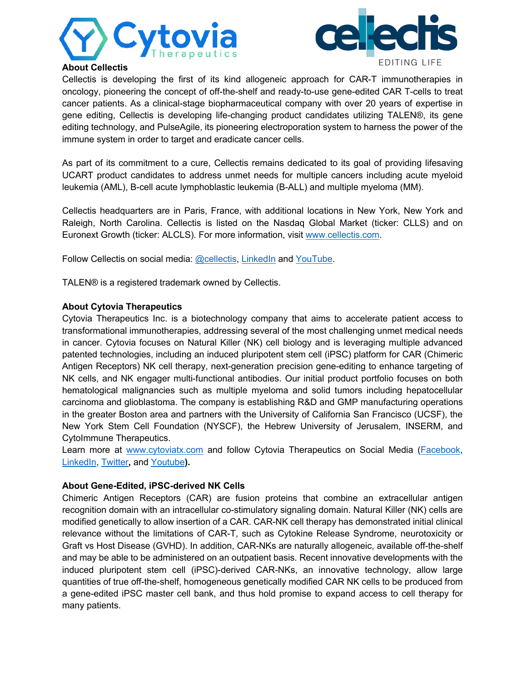



# **About Cellectis**

Cellectis is developing the first of its kind allogeneic approach for CAR-T immunotherapies in oncology, pioneering the concept of off-the-shelf and ready-to-use gene-edited CAR T-cells to treat cancer patients. As a clinical-stage biopharmaceutical company with over 20 years of expertise in gene editing, Cellectis is developing life-changing product candidates utilizing TALEN®, its gene editing technology, and PulseAgile, its pioneering electroporation system to harness the power of the immune system in order to target and eradicate cancer cells.

As part of its commitment to a cure, Cellectis remains dedicated to its goal of providing lifesaving UCART product candidates to address unmet needs for multiple cancers including acute myeloid leukemia (AML), B-cell acute lymphoblastic leukemia (B-ALL) and multiple myeloma (MM).

Cellectis headquarters are in Paris, France, with additional locations in New York, New York and Raleigh, North Carolina. Cellectis is listed on the Nasdaq Global Market (ticker: CLLS) and on Euronext Growth (ticker: ALCLS). For more information, visit www.cellectis.com.

Follow Cellectis on social media: @cellectis, LinkedIn and YouTube.

TALEN® is a registered trademark owned by Cellectis.

## **About Cytovia Therapeutics**

Cytovia Therapeutics Inc. is a biotechnology company that aims to accelerate patient access to transformational immunotherapies, addressing several of the most challenging unmet medical needs in cancer. Cytovia focuses on Natural Killer (NK) cell biology and is leveraging multiple advanced patented technologies, including an induced pluripotent stem cell (iPSC) platform for CAR (Chimeric Antigen Receptors) NK cell therapy, next-generation precision gene-editing to enhance targeting of NK cells, and NK engager multi-functional antibodies. Our initial product portfolio focuses on both hematological malignancies such as multiple myeloma and solid tumors including hepatocellular carcinoma and glioblastoma. The company is establishing R&D and GMP manufacturing operations in the greater Boston area and partners with the University of California San Francisco (UCSF), the New York Stem Cell Foundation (NYSCF), the Hebrew University of Jerusalem, INSERM, and CytoImmune Therapeutics.

Learn more at www.cytoviatx.com and follow Cytovia Therapeutics on Social Media (Facebook, LinkedIn, Twitter**,** and Youtube**).**

## **About Gene-Edited, iPSC-derived NK Cells**

Chimeric Antigen Receptors (CAR) are fusion proteins that combine an extracellular antigen recognition domain with an intracellular co-stimulatory signaling domain. Natural Killer (NK) cells are modified genetically to allow insertion of a CAR. CAR-NK cell therapy has demonstrated initial clinical relevance without the limitations of CAR-T, such as Cytokine Release Syndrome, neurotoxicity or Graft vs Host Disease (GVHD). In addition, CAR-NKs are naturally allogeneic, available off-the-shelf and may be able to be administered on an outpatient basis. Recent innovative developments with the induced pluripotent stem cell (iPSC)-derived CAR-NKs, an innovative technology, allow large quantities of true off-the-shelf, homogeneous genetically modified CAR NK cells to be produced from a gene-edited iPSC master cell bank, and thus hold promise to expand access to cell therapy for many patients.